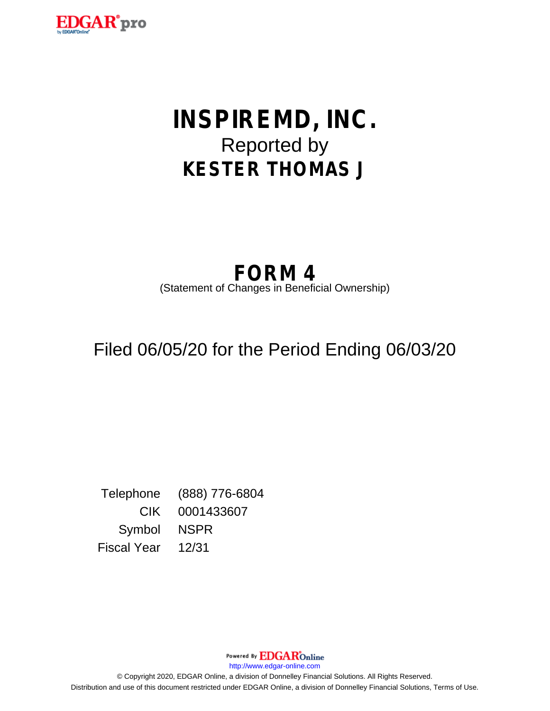

# **INSPIREMD, INC.** Reported by **KESTER THOMAS J**

## **FORM 4** (Statement of Changes in Beneficial Ownership)

## Filed 06/05/20 for the Period Ending 06/03/20

Telephone (888) 776-6804 CIK 0001433607 Symbol NSPR Fiscal Year 12/31

> Powered By **EDGAR**Online http://www.edgar-online.com

© Copyright 2020, EDGAR Online, a division of Donnelley Financial Solutions. All Rights Reserved. Distribution and use of this document restricted under EDGAR Online, a division of Donnelley Financial Solutions, Terms of Use.